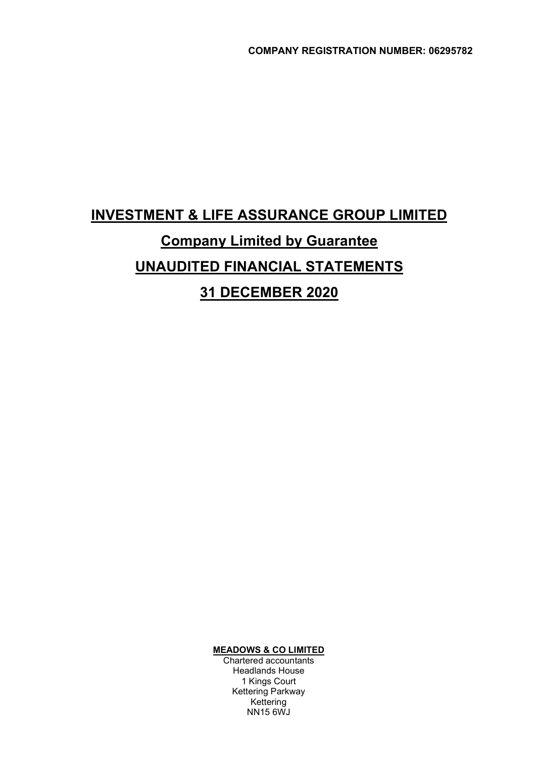# INVESTMENT & LIFE ASSURANCE GROUP LIMITED Company Limited by Guarantee UNAUDITED FINANCIAL STATEMENTS 31 DECEMBER 2020

MEADOWS & CO LIMITED

 Chartered accountants Headlands House 1 Kings Court Kettering Parkway Kettering NN15 6WJ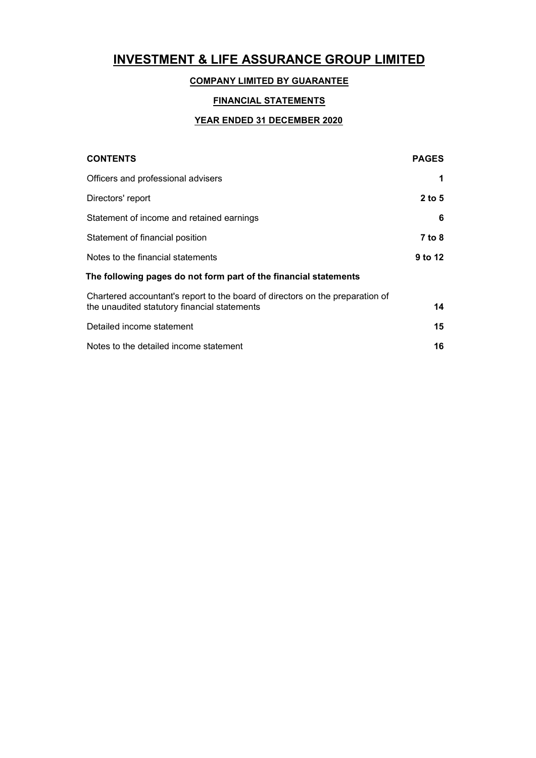# COMPANY LIMITED BY GUARANTEE

# FINANCIAL STATEMENTS

# YEAR ENDED 31 DECEMBER 2020

| <b>CONTENTS</b>                                                                                                               | <b>PAGES</b> |
|-------------------------------------------------------------------------------------------------------------------------------|--------------|
| Officers and professional advisers                                                                                            | 1            |
| Directors' report                                                                                                             | $2$ to 5     |
| Statement of income and retained earnings                                                                                     | 6            |
| Statement of financial position                                                                                               | 7 to 8       |
| Notes to the financial statements                                                                                             | 9 to 12      |
| The following pages do not form part of the financial statements                                                              |              |
| Chartered accountant's report to the board of directors on the preparation of<br>the unaudited statutory financial statements | 14           |
| Detailed income statement                                                                                                     | 15           |
| Notes to the detailed income statement                                                                                        | 16           |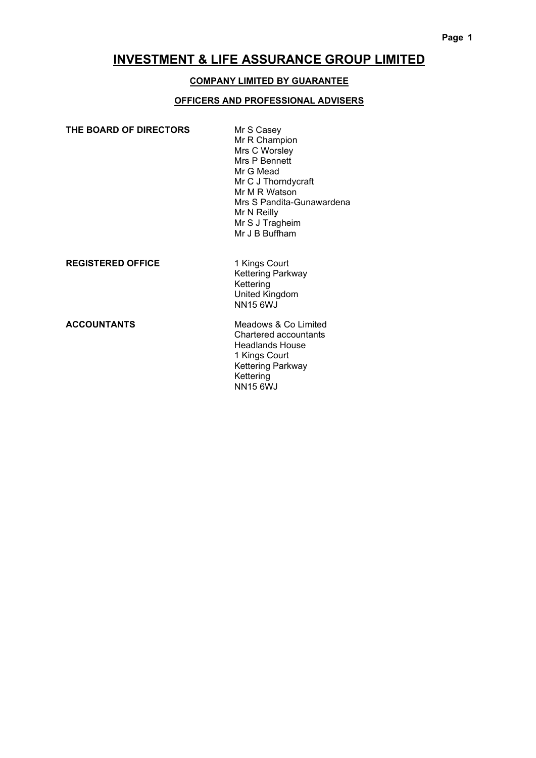### COMPANY LIMITED BY GUARANTEE

### OFFICERS AND PROFESSIONAL ADVISERS

| THE BOARD OF DIRECTORS | Mr S Casey<br>Mr R Champion<br>Mrs C Worsley<br>Mrs P Bennett<br>Mr G Mead<br>Mr C J Thorndycraft<br>Mr M R Watson |
|------------------------|--------------------------------------------------------------------------------------------------------------------|
|                        | Mrs S Pandita-Gunawardena                                                                                          |
|                        | Mr N Reilly                                                                                                        |
|                        | Mr S J Tragheim                                                                                                    |
|                        | Mr J B Buffham                                                                                                     |
|                        |                                                                                                                    |

### **REGISTERED OFFICE**

1 Kings Court<br>Kettering Parkway Kettering United Kingdom NN15 6WJ

ACCOUNTANTS Meadows & Co Limited Chartered accountants Headlands House 1 Kings Court Kettering Parkway Kettering NN15 6WJ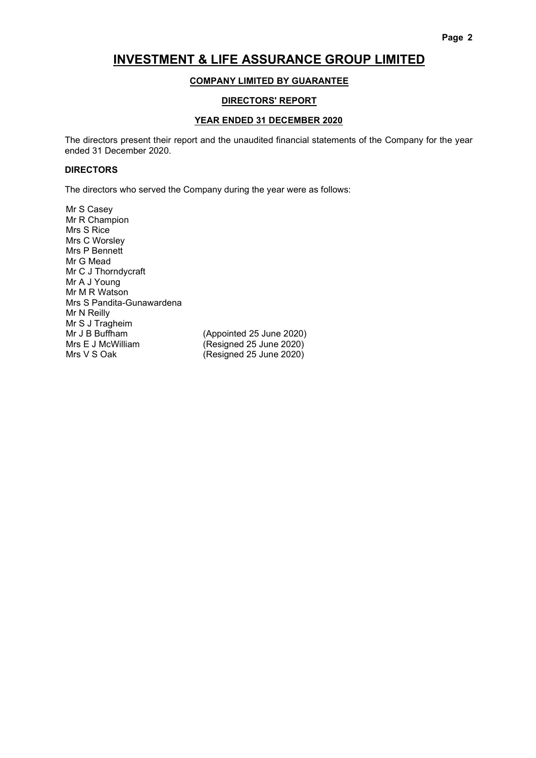### COMPANY LIMITED BY GUARANTEE

#### DIRECTORS' REPORT

#### YEAR ENDED 31 DECEMBER 2020

The directors present their report and the unaudited financial statements of the Company for the year ended 31 December 2020.

#### **DIRECTORS**

The directors who served the Company during the year were as follows:

Mr S Casey Mr R Champion Mrs S Rice Mrs C Worsley Mrs P Bennett Mr G Mead Mr C J Thorndycraft Mr A J Young Mr M R Watson Mrs S Pandita-Gunawardena Mr N Reilly Mr S J Tragheim<br>Mr J B Buffham Mrs E J McWilliam (Resigned 25 June 2020)<br>Mrs V S Oak (Resigned 25 June 2020)

(Appointed 25 June 2020)  $(Resigned 25 June 2020)$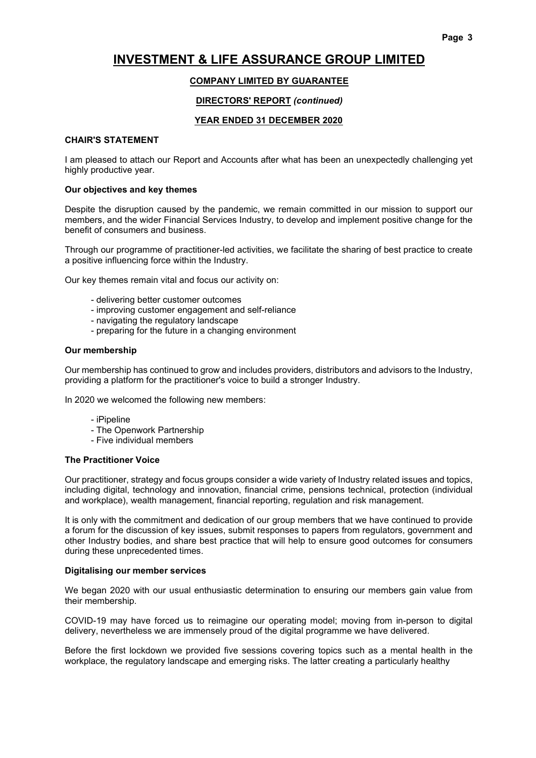### COMPANY LIMITED BY GUARANTEE

#### DIRECTORS' REPORT (continued)

#### YEAR ENDED 31 DECEMBER 2020

#### CHAIR'S STATEMENT

I am pleased to attach our Report and Accounts after what has been an unexpectedly challenging yet highly productive year.

#### Our objectives and key themes

Despite the disruption caused by the pandemic, we remain committed in our mission to support our members, and the wider Financial Services Industry, to develop and implement positive change for the benefit of consumers and business.

Through our programme of practitioner-led activities, we facilitate the sharing of best practice to create a positive influencing force within the Industry.

Our key themes remain vital and focus our activity on:

- delivering better customer outcomes
- improving customer engagement and self-reliance
- navigating the regulatory landscape
- preparing for the future in a changing environment

#### Our membership

Our membership has continued to grow and includes providers, distributors and advisors to the Industry, providing a platform for the practitioner's voice to build a stronger Industry.

In 2020 we welcomed the following new members:

- iPipeline
- The Openwork Partnership
- Five individual members

#### The Practitioner Voice

Our practitioner, strategy and focus groups consider a wide variety of Industry related issues and topics, including digital, technology and innovation, financial crime, pensions technical, protection (individual and workplace), wealth management, financial reporting, regulation and risk management.

It is only with the commitment and dedication of our group members that we have continued to provide a forum for the discussion of key issues, submit responses to papers from regulators, government and other Industry bodies, and share best practice that will help to ensure good outcomes for consumers during these unprecedented times.

#### Digitalising our member services

We began 2020 with our usual enthusiastic determination to ensuring our members gain value from their membership.

COVID-19 may have forced us to reimagine our operating model; moving from in-person to digital delivery, nevertheless we are immensely proud of the digital programme we have delivered.

Before the first lockdown we provided five sessions covering topics such as a mental health in the workplace, the regulatory landscape and emerging risks. The latter creating a particularly healthy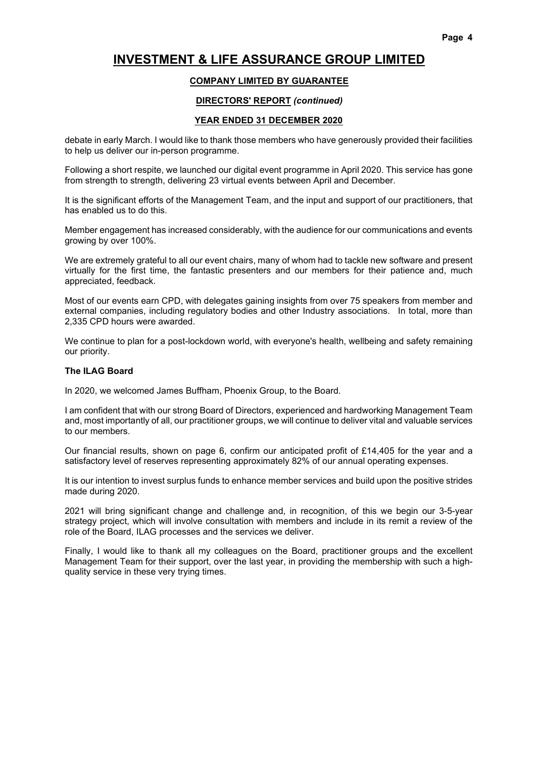# COMPANY LIMITED BY GUARANTEE

# DIRECTORS' REPORT (continued)

#### YEAR ENDED 31 DECEMBER 2020

debate in early March. I would like to thank those members who have generously provided their facilities to help us deliver our in-person programme.

Following a short respite, we launched our digital event programme in April 2020. This service has gone from strength to strength, delivering 23 virtual events between April and December.

It is the significant efforts of the Management Team, and the input and support of our practitioners, that has enabled us to do this.

Member engagement has increased considerably, with the audience for our communications and events growing by over 100%.

We are extremely grateful to all our event chairs, many of whom had to tackle new software and present virtually for the first time, the fantastic presenters and our members for their patience and, much appreciated, feedback.

Most of our events earn CPD, with delegates gaining insights from over 75 speakers from member and external companies, including regulatory bodies and other Industry associations. In total, more than 2,335 CPD hours were awarded.

We continue to plan for a post-lockdown world, with everyone's health, wellbeing and safety remaining our priority.

### The ILAG Board

In 2020, we welcomed James Buffham, Phoenix Group, to the Board.

I am confident that with our strong Board of Directors, experienced and hardworking Management Team and, most importantly of all, our practitioner groups, we will continue to deliver vital and valuable services to our members.

Our financial results, shown on page 6, confirm our anticipated profit of £14,405 for the year and a satisfactory level of reserves representing approximately 82% of our annual operating expenses.

It is our intention to invest surplus funds to enhance member services and build upon the positive strides made during 2020.

2021 will bring significant change and challenge and, in recognition, of this we begin our 3-5-year strategy project, which will involve consultation with members and include in its remit a review of the role of the Board, ILAG processes and the services we deliver.

Finally, I would like to thank all my colleagues on the Board, practitioner groups and the excellent Management Team for their support, over the last year, in providing the membership with such a highquality service in these very trying times.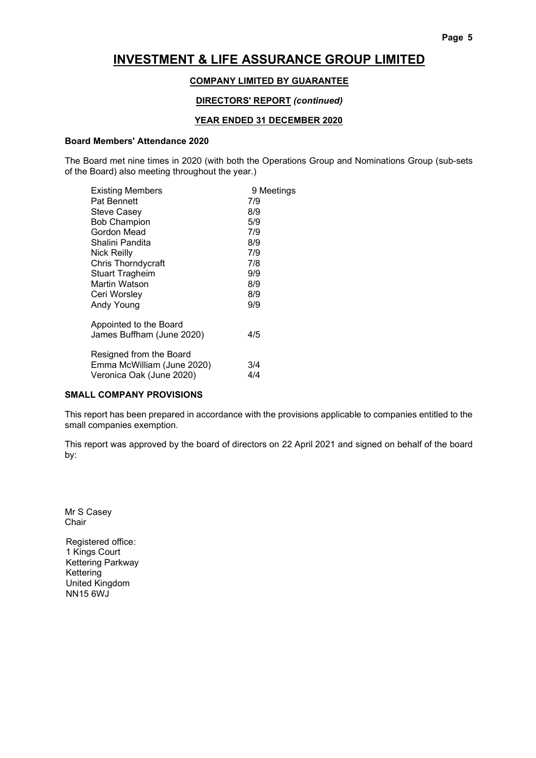### COMPANY LIMITED BY GUARANTEE

### DIRECTORS' REPORT (continued)

### YEAR ENDED 31 DECEMBER 2020

#### Board Members' Attendance 2020

The Board met nine times in 2020 (with both the Operations Group and Nominations Group (sub-sets of the Board) also meeting throughout the year.)

| <b>Existing Members</b>    | 9 Meetings |
|----------------------------|------------|
| Pat Bennett                | 7/9        |
| <b>Steve Casey</b>         | 8/9        |
| <b>Bob Champion</b>        | 5/9        |
| Gordon Mead                | 7/9        |
| Shalini Pandita            | 8/9        |
| <b>Nick Reilly</b>         | 7/9        |
| Chris Thorndycraft         | 7/8        |
| <b>Stuart Tragheim</b>     | 9/9        |
| Martin Watson              | 8/9        |
| Ceri Worsley               | 8/9        |
| Andy Young                 | 9/9        |
| Appointed to the Board     |            |
| James Buffham (June 2020)  | 4/5        |
| Resigned from the Board    |            |
| Emma McWilliam (June 2020) | 3/4        |
| Veronica Oak (June 2020)   | 4/4        |
|                            |            |

#### SMALL COMPANY PROVISIONS

This report has been prepared in accordance with the provisions applicable to companies entitled to the small companies exemption.

This report was approved by the board of directors on 22 April 2021 and signed on behalf of the board by:

Mr S Casey Chair

Registered office: 1 Kings Court Kettering Parkway Kettering United Kingdom NN15 6WJ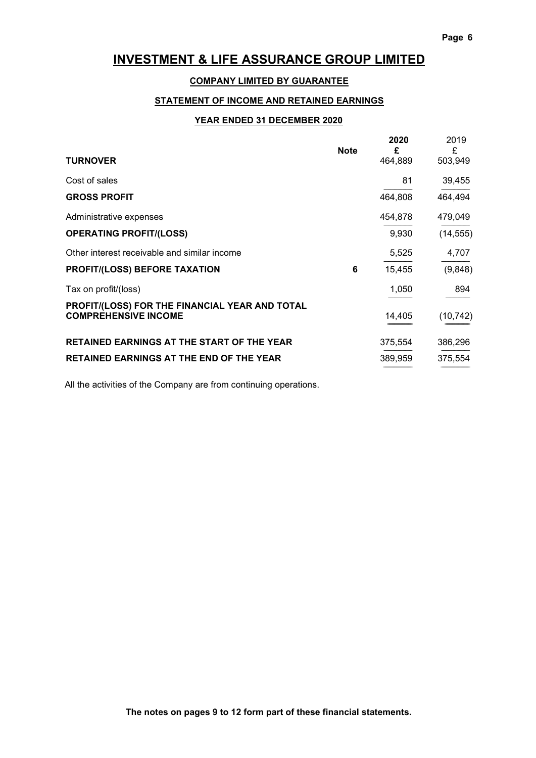# COMPANY LIMITED BY GUARANTEE

# STATEMENT OF INCOME AND RETAINED EARNINGS

### YEAR ENDED 31 DECEMBER 2020

| <b>TURNOVER</b>                                                               | <b>Note</b> | 2020<br>£<br>464,889 | 2019<br>£<br>503,949 |
|-------------------------------------------------------------------------------|-------------|----------------------|----------------------|
| Cost of sales                                                                 |             | 81                   | 39,455               |
| <b>GROSS PROFIT</b>                                                           |             | 464,808              | 464,494              |
| Administrative expenses                                                       |             | 454,878              | 479,049              |
| <b>OPERATING PROFIT/(LOSS)</b>                                                |             | 9,930                | (14, 555)            |
| Other interest receivable and similar income                                  |             | 5,525                | 4,707                |
| <b>PROFIT/(LOSS) BEFORE TAXATION</b>                                          | 6           | 15,455               | (9,848)              |
| Tax on profit/(loss)                                                          |             | 1,050                | 894                  |
| PROFIT/(LOSS) FOR THE FINANCIAL YEAR AND TOTAL<br><b>COMPREHENSIVE INCOME</b> |             | 14,405               | (10, 742)            |
| <b>RETAINED EARNINGS AT THE START OF THE YEAR</b>                             |             | 375,554              | 386,296              |
| <b>RETAINED EARNINGS AT THE END OF THE YEAR</b>                               |             | 389,959              | 375,554              |

All the activities of the Company are from continuing operations.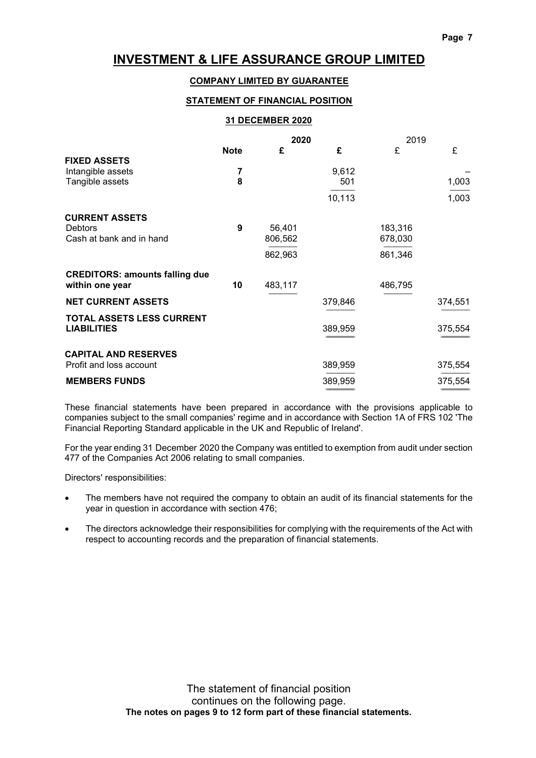# COMPANY LIMITED BY GUARANTEE

### STATEMENT OF FINANCIAL POSITION

#### 31 DECEMBER 2020

|                                       | 2020        |         |         | 2019    |         |
|---------------------------------------|-------------|---------|---------|---------|---------|
|                                       | <b>Note</b> | £       | £       | £       | £       |
| <b>FIXED ASSETS</b>                   |             |         |         |         |         |
| Intangible assets                     | 7           |         | 9,612   |         |         |
| Tangible assets                       | 8           |         | 501     |         | 1,003   |
|                                       |             |         | 10,113  |         | 1,003   |
| <b>CURRENT ASSETS</b>                 |             |         |         |         |         |
| <b>Debtors</b>                        | 9           | 56,401  |         | 183,316 |         |
| Cash at bank and in hand              |             | 806,562 |         | 678,030 |         |
|                                       |             | 862,963 |         | 861,346 |         |
| <b>CREDITORS: amounts falling due</b> |             |         |         |         |         |
| within one year                       | 10          | 483,117 |         | 486,795 |         |
| <b>NET CURRENT ASSETS</b>             |             |         | 379,846 |         | 374,551 |
| <b>TOTAL ASSETS LESS CURRENT</b>      |             |         |         |         |         |
| <b>LIABILITIES</b>                    |             |         | 389,959 |         | 375,554 |
| <b>CAPITAL AND RESERVES</b>           |             |         |         |         |         |
| Profit and loss account               |             |         | 389,959 |         | 375,554 |
| <b>MEMBERS FUNDS</b>                  |             |         | 389,959 |         | 375,554 |

These financial statements have been prepared in accordance with the provisions applicable to companies subject to the small companies' regime and in accordance with Section 1A of FRS 102 'The Financial Reporting Standard applicable in the UK and Republic of Ireland'.

For the year ending 31 December 2020 the Company was entitled to exemption from audit under section 477 of the Companies Act 2006 relating to small companies.

Directors' responsibilities:

- The members have not required the company to obtain an audit of its financial statements for the year in question in accordance with section 476;
- The directors acknowledge their responsibilities for complying with the requirements of the Act with respect to accounting records and the preparation of financial statements.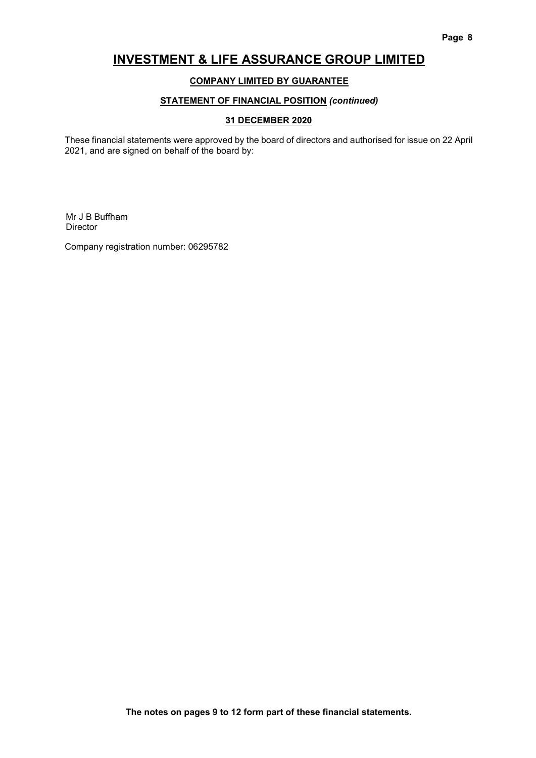# COMPANY LIMITED BY GUARANTEE

# STATEMENT OF FINANCIAL POSITION (continued)

### 31 DECEMBER 2020

These financial statements were approved by the board of directors and authorised for issue on 22 April 2021, and are signed on behalf of the board by:

Mr J B Buffham Director

Company registration number: 06295782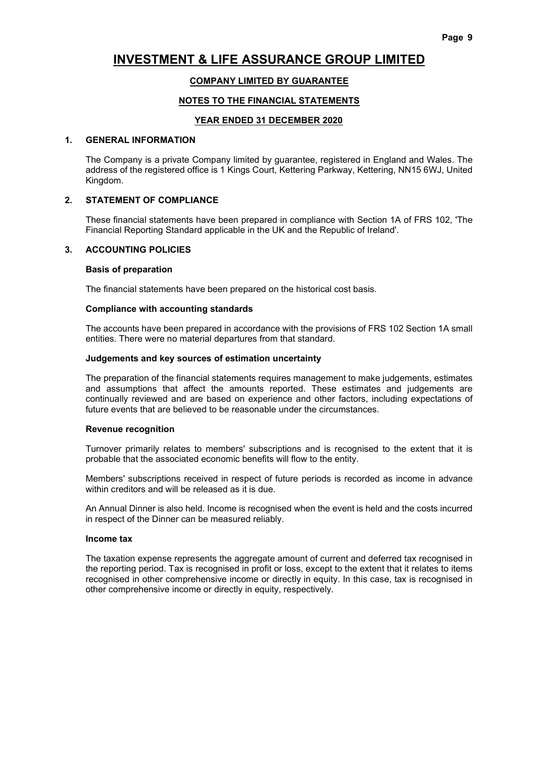# COMPANY LIMITED BY GUARANTEE

### NOTES TO THE FINANCIAL STATEMENTS

#### YEAR ENDED 31 DECEMBER 2020

#### 1. GENERAL INFORMATION

 The Company is a private Company limited by guarantee, registered in England and Wales. The address of the registered office is 1 Kings Court, Kettering Parkway, Kettering, NN15 6WJ, United Kingdom.

#### 2. STATEMENT OF COMPLIANCE

 These financial statements have been prepared in compliance with Section 1A of FRS 102, 'The Financial Reporting Standard applicable in the UK and the Republic of Ireland'.

#### 3. ACCOUNTING POLICIES

#### Basis of preparation

The financial statements have been prepared on the historical cost basis.

#### Compliance with accounting standards

 The accounts have been prepared in accordance with the provisions of FRS 102 Section 1A small entities. There were no material departures from that standard.

#### Judgements and key sources of estimation uncertainty

 The preparation of the financial statements requires management to make judgements, estimates and assumptions that affect the amounts reported. These estimates and judgements are continually reviewed and are based on experience and other factors, including expectations of future events that are believed to be reasonable under the circumstances.

#### Revenue recognition

 Turnover primarily relates to members' subscriptions and is recognised to the extent that it is probable that the associated economic benefits will flow to the entity.

 Members' subscriptions received in respect of future periods is recorded as income in advance within creditors and will be released as it is due.

 An Annual Dinner is also held. Income is recognised when the event is held and the costs incurred in respect of the Dinner can be measured reliably.

#### Income tax

 The taxation expense represents the aggregate amount of current and deferred tax recognised in the reporting period. Tax is recognised in profit or loss, except to the extent that it relates to items recognised in other comprehensive income or directly in equity. In this case, tax is recognised in other comprehensive income or directly in equity, respectively.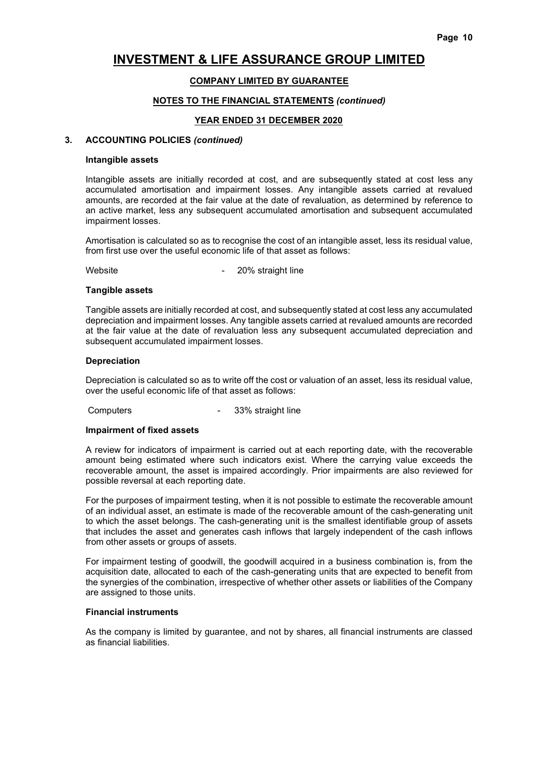### COMPANY LIMITED BY GUARANTEE

#### NOTES TO THE FINANCIAL STATEMENTS (continued)

#### YEAR ENDED 31 DECEMBER 2020

#### 3. ACCOUNTING POLICIES (continued)

#### Intangible assets

 Intangible assets are initially recorded at cost, and are subsequently stated at cost less any accumulated amortisation and impairment losses. Any intangible assets carried at revalued amounts, are recorded at the fair value at the date of revaluation, as determined by reference to an active market, less any subsequent accumulated amortisation and subsequent accumulated impairment losses.

 Amortisation is calculated so as to recognise the cost of an intangible asset, less its residual value, from first use over the useful economic life of that asset as follows:

Website **- 20%** straight line

#### Tangible assets

 Tangible assets are initially recorded at cost, and subsequently stated at cost less any accumulated depreciation and impairment losses. Any tangible assets carried at revalued amounts are recorded at the fair value at the date of revaluation less any subsequent accumulated depreciation and subsequent accumulated impairment losses.

#### Depreciation

 Depreciation is calculated so as to write off the cost or valuation of an asset, less its residual value, over the useful economic life of that asset as follows:

Computers **Computers 1988** - 33% straight line

#### Impairment of fixed assets

 A review for indicators of impairment is carried out at each reporting date, with the recoverable amount being estimated where such indicators exist. Where the carrying value exceeds the recoverable amount, the asset is impaired accordingly. Prior impairments are also reviewed for possible reversal at each reporting date.

 For the purposes of impairment testing, when it is not possible to estimate the recoverable amount of an individual asset, an estimate is made of the recoverable amount of the cash-generating unit to which the asset belongs. The cash-generating unit is the smallest identifiable group of assets that includes the asset and generates cash inflows that largely independent of the cash inflows from other assets or groups of assets.

 For impairment testing of goodwill, the goodwill acquired in a business combination is, from the acquisition date, allocated to each of the cash-generating units that are expected to benefit from the synergies of the combination, irrespective of whether other assets or liabilities of the Company are assigned to those units.

#### Financial instruments

 As the company is limited by guarantee, and not by shares, all financial instruments are classed as financial liabilities.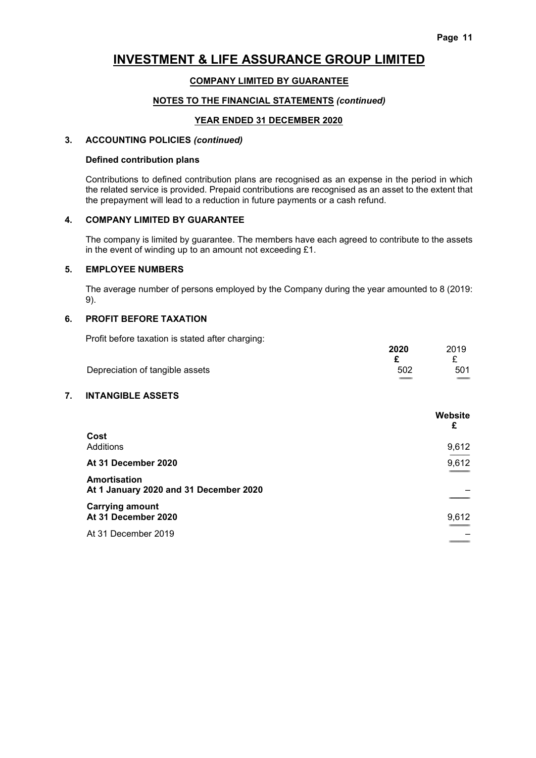### COMPANY LIMITED BY GUARANTEE

#### NOTES TO THE FINANCIAL STATEMENTS (continued)

#### YEAR ENDED 31 DECEMBER 2020

### 3. ACCOUNTING POLICIES (continued)

#### Defined contribution plans

 Contributions to defined contribution plans are recognised as an expense in the period in which the related service is provided. Prepaid contributions are recognised as an asset to the extent that the prepayment will lead to a reduction in future payments or a cash refund.

#### 4. COMPANY LIMITED BY GUARANTEE

 The company is limited by guarantee. The members have each agreed to contribute to the assets in the event of winding up to an amount not exceeding £1.

#### 5. EMPLOYEE NUMBERS

 The average number of persons employed by the Company during the year amounted to 8 (2019: 9).

#### 6. PROFIT BEFORE TAXATION

Profit before taxation is stated after charging:

| Then belong taxation to otatoa artor orial girlg. | 2020 | 2019 |
|---------------------------------------------------|------|------|
|                                                   |      |      |
| Depreciation of tangible assets                   | 502  | 501  |

### 7. INTANGIBLE ASSETS

|                                                        | Website<br>£ |
|--------------------------------------------------------|--------------|
| Cost<br>Additions                                      | 9,612        |
| At 31 December 2020                                    | 9,612        |
| Amortisation<br>At 1 January 2020 and 31 December 2020 |              |
| <b>Carrying amount</b><br>At 31 December 2020          | 9,612        |
| At 31 December 2019                                    |              |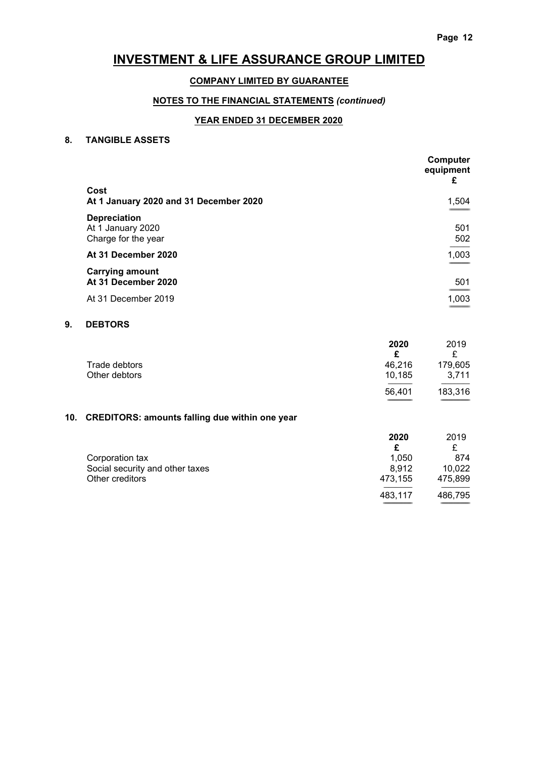### COMPANY LIMITED BY GUARANTEE

# NOTES TO THE FINANCIAL STATEMENTS (continued)

### YEAR ENDED 31 DECEMBER 2020

#### 8. TANGIBLE ASSETS

|                                                                 | Computer<br>equipment<br>£ |
|-----------------------------------------------------------------|----------------------------|
| Cost<br>At 1 January 2020 and 31 December 2020                  | 1,504                      |
|                                                                 |                            |
| <b>Depreciation</b><br>At 1 January 2020<br>Charge for the year | 501<br>502                 |
| At 31 December 2020                                             | 1,003                      |
| <b>Carrying amount</b><br>At 31 December 2020                   | 501                        |
| At 31 December 2019                                             | 1,003                      |

# 9. DEBTORS

|               | 2020   | 2019    |
|---------------|--------|---------|
|               |        |         |
| Trade debtors | 46.216 | 179,605 |
| Other debtors | 10.185 | 3.711   |
|               | 56.401 | 183,316 |

============================ =================================

# 10. CREDITORS: amounts falling due within one year

|                                 | 2020    | 2019    |
|---------------------------------|---------|---------|
|                                 |         | £       |
| Corporation tax                 | 1.050   | 874     |
| Social security and other taxes | 8.912   | 10,022  |
| Other creditors                 | 473,155 | 475,899 |
|                                 | 483,117 | 486,795 |
|                                 |         |         |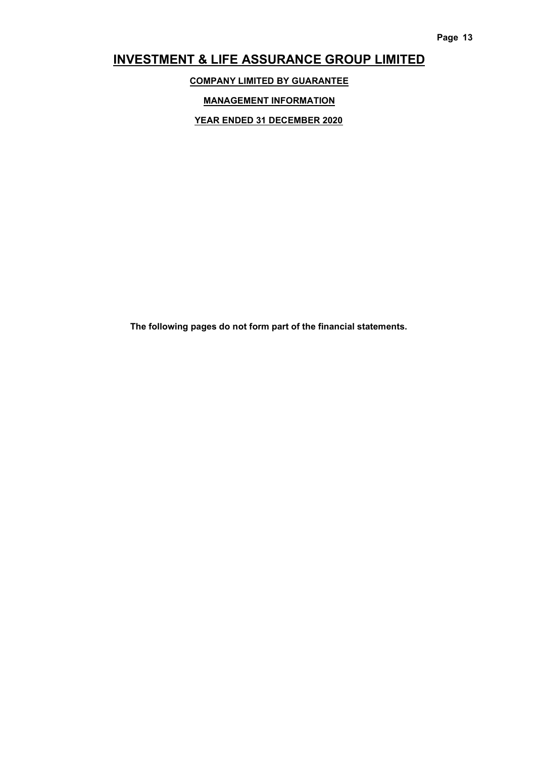COMPANY LIMITED BY GUARANTEE

MANAGEMENT INFORMATION

YEAR ENDED 31 DECEMBER 2020

The following pages do not form part of the financial statements.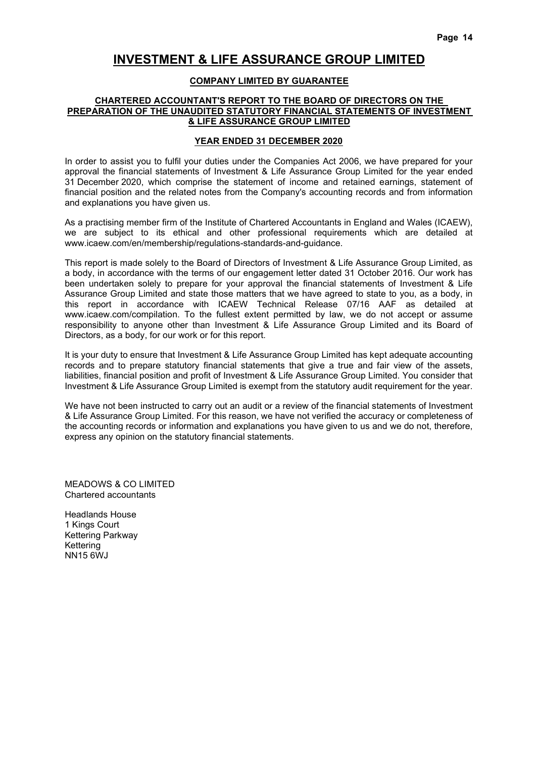#### COMPANY LIMITED BY GUARANTEE

#### CHARTERED ACCOUNTANT'S REPORT TO THE BOARD OF DIRECTORS ON THE PREPARATION OF THE UNAUDITED STATUTORY FINANCIAL STATEMENTS OF INVESTMENT & LIFE ASSURANCE GROUP LIMITED

#### YEAR ENDED 31 DECEMBER 2020

In order to assist you to fulfil your duties under the Companies Act 2006, we have prepared for your approval the financial statements of Investment & Life Assurance Group Limited for the year ended 31 December 2020, which comprise the statement of income and retained earnings, statement of financial position and the related notes from the Company's accounting records and from information and explanations you have given us.

As a practising member firm of the Institute of Chartered Accountants in England and Wales (ICAEW), we are subject to its ethical and other professional requirements which are detailed at www.icaew.com/en/membership/regulations-standards-and-guidance.

This report is made solely to the Board of Directors of Investment & Life Assurance Group Limited, as a body, in accordance with the terms of our engagement letter dated 31 October 2016. Our work has been undertaken solely to prepare for your approval the financial statements of Investment & Life Assurance Group Limited and state those matters that we have agreed to state to you, as a body, in this report in accordance with ICAEW Technical Release 07/16 AAF as detailed at www.icaew.com/compilation. To the fullest extent permitted by law, we do not accept or assume responsibility to anyone other than Investment & Life Assurance Group Limited and its Board of Directors, as a body, for our work or for this report.

It is your duty to ensure that Investment & Life Assurance Group Limited has kept adequate accounting records and to prepare statutory financial statements that give a true and fair view of the assets, liabilities, financial position and profit of Investment & Life Assurance Group Limited. You consider that Investment & Life Assurance Group Limited is exempt from the statutory audit requirement for the year.

We have not been instructed to carry out an audit or a review of the financial statements of Investment & Life Assurance Group Limited. For this reason, we have not verified the accuracy or completeness of the accounting records or information and explanations you have given to us and we do not, therefore, express any opinion on the statutory financial statements.

MEADOWS & CO LIMITED Chartered accountants

Headlands House 1 Kings Court Kettering Parkway Kettering NN15 6WJ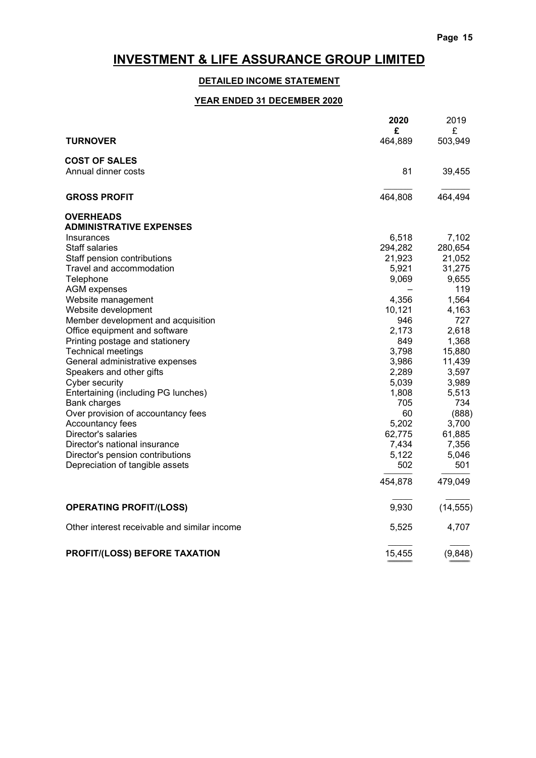============================ =======================

# INVESTMENT & LIFE ASSURANCE GROUP LIMITED

# DETAILED INCOME STATEMENT

# YEAR ENDED 31 DECEMBER 2020

|                                              | 2020<br>£ | 2019<br>£ |
|----------------------------------------------|-----------|-----------|
| <b>TURNOVER</b>                              | 464,889   | 503,949   |
| <b>COST OF SALES</b>                         |           |           |
| Annual dinner costs                          | 81        | 39,455    |
| <b>GROSS PROFIT</b>                          | 464,808   | 464,494   |
| <b>OVERHEADS</b>                             |           |           |
| <b>ADMINISTRATIVE EXPENSES</b>               |           |           |
| Insurances                                   | 6,518     | 7,102     |
| <b>Staff salaries</b>                        | 294,282   | 280,654   |
| Staff pension contributions                  | 21,923    | 21,052    |
| Travel and accommodation                     | 5,921     | 31,275    |
| Telephone                                    | 9,069     | 9,655     |
| <b>AGM</b> expenses                          |           | 119       |
| Website management                           | 4,356     | 1,564     |
| Website development                          | 10,121    | 4,163     |
| Member development and acquisition           | 946       | 727       |
| Office equipment and software                | 2,173     | 2,618     |
| Printing postage and stationery              | 849       | 1,368     |
| <b>Technical meetings</b>                    | 3,798     | 15,880    |
| General administrative expenses              | 3,986     | 11,439    |
| Speakers and other gifts                     | 2,289     | 3,597     |
| Cyber security                               | 5,039     | 3,989     |
| Entertaining (including PG lunches)          | 1,808     | 5,513     |
| <b>Bank charges</b>                          | 705       | 734       |
| Over provision of accountancy fees           | 60        | (888)     |
| Accountancy fees                             | 5,202     | 3,700     |
| Director's salaries                          | 62,775    | 61,885    |
| Director's national insurance                | 7,434     | 7,356     |
| Director's pension contributions             | 5,122     | 5,046     |
| Depreciation of tangible assets              | 502       | 501       |
|                                              | 454,878   | 479,049   |
| <b>OPERATING PROFIT/(LOSS)</b>               | 9,930     | (14, 555) |
| Other interest receivable and similar income | 5,525     | 4,707     |
| PROFIT/(LOSS) BEFORE TAXATION                | 15,455    | (9,848)   |